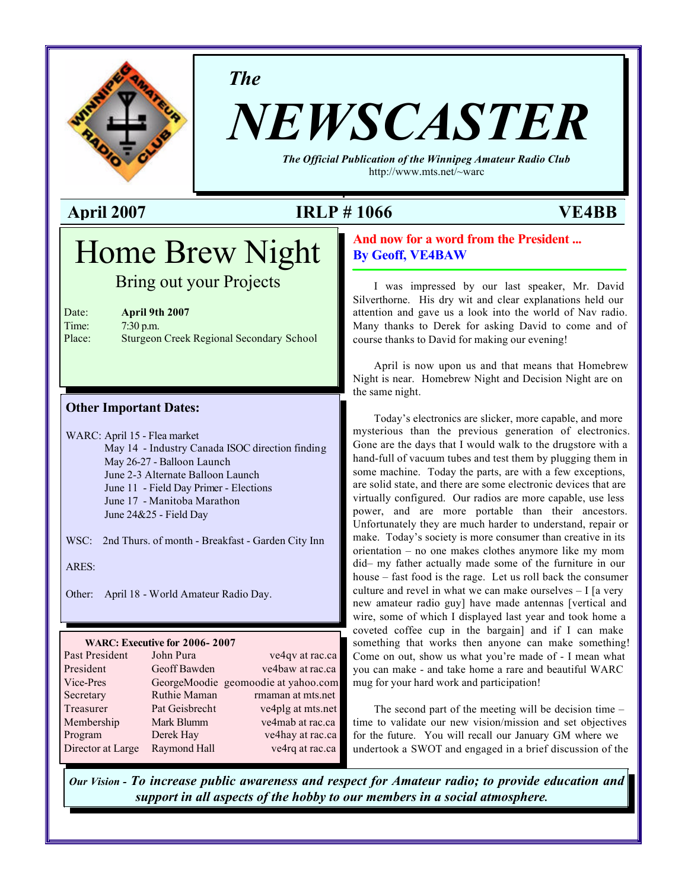

*The*

# *NEWSCASTER*

*The Official Publication of the Winnipeg Amateur Radio Club* <http://www.mts.net/~warc>

### **April 2007 IRLP # 1066 VE4BB**

## Home Brew Night

Bring out your Projects

| Date:  |
|--------|
| Time:  |
| Dlo oo |

April 9th 2007 7:30 p.m. Place: Sturgeon Creek Regional Secondary School

#### **Other Important Dates:**

WARC: April 15 - Flea market May 14 - Industry Canada ISOC direction finding May 26-27 - Balloon Launch June 2-3 Alternate Balloon Launch June 11 - Field Day Primer - Elections June 17 - Manitoba Marathon June 24&25 - Field Day

WSC: 2nd Thurs. of month - Breakfast - Garden City Inn

ARES:

Other: April 18 - World Amateur Radio Day.

#### **WARC: Executive for 2006- 2007**

| Past President    | John Pura      | ve4qv at rac.ca                     |
|-------------------|----------------|-------------------------------------|
| President         | Geoff Bawden   | ve4baw at rac.ca                    |
| Vice-Pres         |                | GeorgeMoodie geomoodie at yahoo.com |
| Secretary         | Ruthie Maman   | rmaman at mts.net                   |
| Treasurer         | Pat Geisbrecht | ve4plg at mts.net                   |
| Membership        | Mark Blumm     | ve4mab at rac.ca                    |
| Program           | Derek Hay      | ve4hay at rac.ca                    |
| Director at Large | Raymond Hall   | ve4rq at rac.ca                     |

#### **And now for a word from the President ... By Geoff, VE4BAW**

I was impressed by our last speaker, Mr. David Silverthorne. His dry wit and clear explanations held our attention and gave us a look into the world of Nav radio. Many thanks to Derek for asking David to come and of course thanks to David for making our evening!

April is now upon us and that means that Homebrew Night is near. Homebrew Night and Decision Night are on the same night.

Today's electronics are slicker, more capable, and more mysterious than the previous generation of electronics. Gone are the days that I would walk to the drugstore with a hand-full of vacuum tubes and test them by plugging them in some machine. Today the parts, are with a few exceptions, are solid state, and there are some electronic devices that are virtually configured. Our radios are more capable, use less power, and are more portable than their ancestors. Unfortunately they are much harder to understand, repair or make. Today's society is more consumer than creative in its orientation – no one makes clothes anymore like my mom did– my father actually made some of the furniture in our house – fast food is the rage. Let us roll back the consumer culture and revel in what we can make ourselves – I [a very new amateur radio guy] have made antennas [vertical and wire, some of which I displayed last year and took home a coveted coffee cup in the bargain] and if I can make something that works then anyone can make something! Come on out, show us what you're made of - I mean what you can make - and take home a rare and beautiful WARC mug for your hard work and participation!

The second part of the meeting will be decision time – time to validate our new vision/mission and set objectives for the future. You will recall our January GM where we undertook a SWOT and engaged in a brief discussion of the

*Our Vision - To increase public awareness and respect for Amateur radio; to provide education and support in all aspects of the hobby to our members in a social atmosphere.*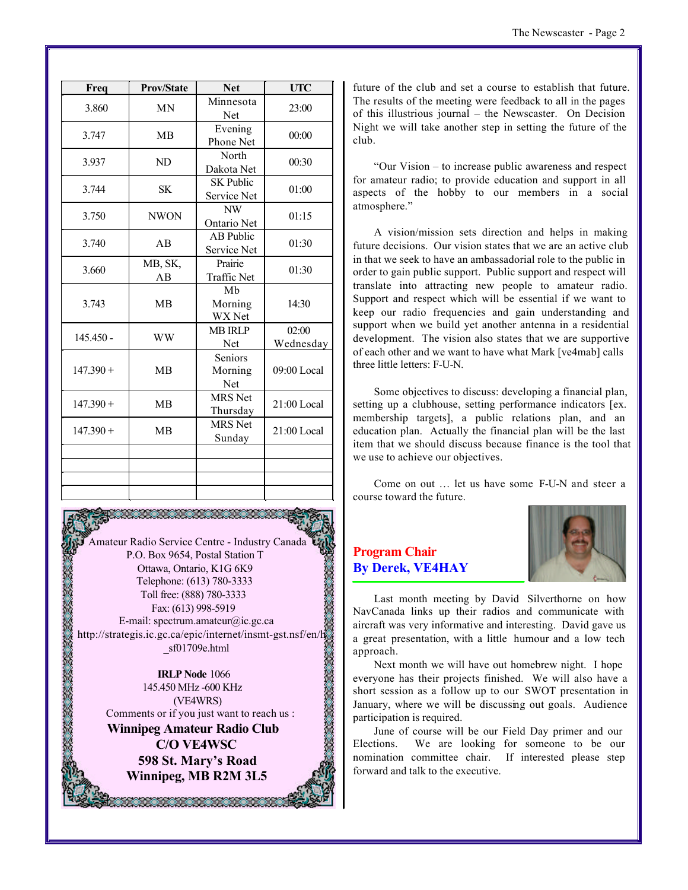| Freq        | <b>Prov/State</b> | <b>Net</b>                      | <b>UTC</b>         |
|-------------|-------------------|---------------------------------|--------------------|
| 3.860       | <b>MN</b>         | Minnesota<br>Net                | 23:00              |
| 3.747       | <b>MB</b>         | Evening<br>Phone Net            | 00:00              |
| 3.937       | ND                | North<br>Dakota Net             | 00:30              |
| 3.744       | <b>SK</b>         | <b>SK Public</b><br>Service Net | 01:00              |
| 3.750       | <b>NWON</b>       | NW<br>Ontario Net               | 01:15              |
| 3.740       | AB                | AB Public<br>Service Net        | 01:30              |
| 3.660       | MB, SK,<br>AB     | Prairie<br><b>Traffic Net</b>   | 01:30              |
| 3.743       | <b>MB</b>         | Mb<br>Morning<br>WX Net         | 14:30              |
| $145.450 -$ | <b>WW</b>         | <b>MB IRLP</b><br>Net           | 02:00<br>Wednesday |
| $147.390 +$ | <b>MB</b>         | Seniors<br>Morning<br>Net       | 09:00 Local        |
| $147.390 +$ | <b>MB</b>         | <b>MRS</b> Net<br>Thursday      | 21:00 Local        |
| $147.390 +$ | <b>MB</b>         | <b>MRS</b> Net<br>Sunday        | 21:00 Local        |
|             |                   |                                 |                    |
|             |                   |                                 |                    |
|             |                   |                                 |                    |

Amateur Radio Service Centre - Industry Canada P.O. Box 9654, Postal Station T Ottawa, Ontario, K1G 6K9 Telephone: (613) 780-3333 **ARANG ARANG ARANG ARANG ARANG ARANG ARANG ARANG ARANG ARANG ARANG ARANG ARANG ARANG ARANG ARANG ARANG ARANG A** Toll free: (888) 780-3333 Fax: (613) 998-5919 E-mail: spectrum.amateur@ic.gc.ca <http://strategis.ic.gc.ca/epic/internet/insmt-gst.nsf/en/h> \_sf01709e.html

**IRLP Node** 1066 145.450 MHz -600 KHz (VE4WRS) Comments or if you just want to reach us : **Winnipeg Amateur Radio Club C/O VE4WSC 598 St. Mary's Road Winnipeg, MB R2M 3L5**

20100120120120120120

future of the club and set a course to establish that future. The results of the meeting were feedback to all in the pages of this illustrious journal – the Newscaster. On Decision Night we will take another step in setting the future of the club.

"Our Vision – to increase public awareness and respect for amateur radio; to provide education and support in all aspects of the hobby to our members in a social atmosphere."

A vision/mission sets direction and helps in making future decisions. Our vision states that we are an active club in that we seek to have an ambassadorial role to the public in order to gain public support. Public support and respect will translate into attracting new people to amateur radio. Support and respect which will be essential if we want to keep our radio frequencies and gain understanding and support when we build yet another antenna in a residential development. The vision also states that we are supportive of each other and we want to have what Mark [ve4mab] calls three little letters: F-U-N.

Some objectives to discuss: developing a financial plan, setting up a clubhouse, setting performance indicators [ex. membership targets], a public relations plan, and an education plan. Actually the financial plan will be the last item that we should discuss because finance is the tool that we use to achieve our objectives.

Come on out … let us have some F-U-N and steer a course toward the future.

#### **Program Chair By Derek, VE4HAY**



Last month meeting by David Silverthorne on how NavCanada links up their radios and communicate with aircraft was very informative and interesting. David gave us a great presentation, with a little humour and a low tech approach.

Next month we will have out homebrew night. I hope everyone has their projects finished. We will also have a short session as a follow up to our SWOT presentation in January, where we will be discussing out goals. Audience participation is required.

June of course will be our Field Day primer and our Elections. We are looking for someone to be our nomination committee chair. If interested please step forward and talk to the executive.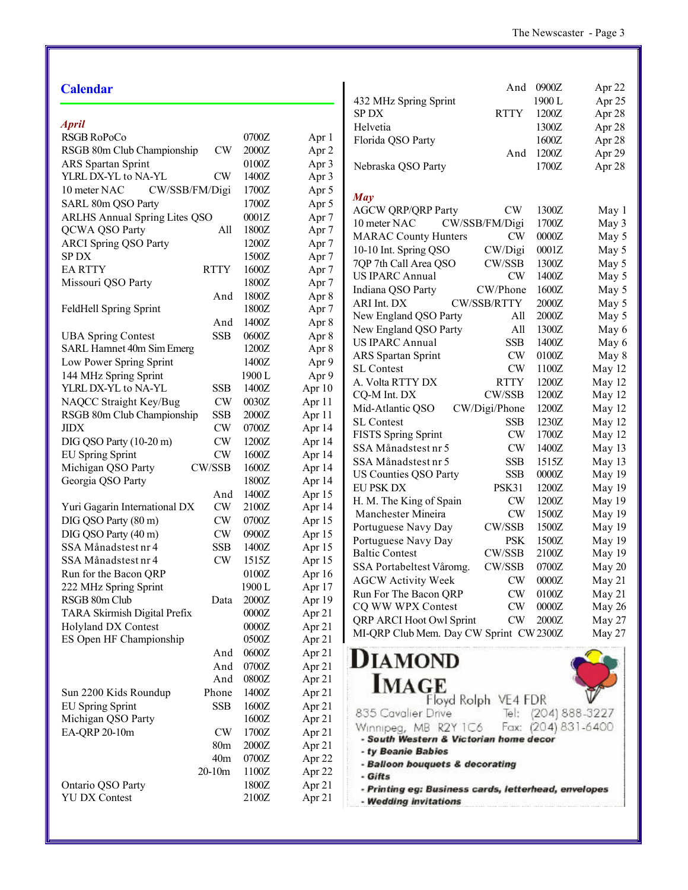Tel: (204) 888-3227 Fax: (204) 831-6400

#### **Calendar**

|  | ۰,<br>×<br>۰, |
|--|---------------|

| Apru                                 |                 |        |                  |
|--------------------------------------|-----------------|--------|------------------|
| RSGB RoPoCo                          |                 | 0700Z  | Apr 1            |
| RSGB 80m Club Championship           | CW              | 2000Z  | Apr 2            |
| <b>ARS</b> Spartan Sprint            |                 | 0100Z  | Apr 3            |
| YLRL DX-YL to NA-YL                  | CW              | 1400Z  | Apr 3            |
| 10 meter NAC<br>CW/SSB/FM/Digi       |                 | 1700Z  | Apr 5            |
| SARL 80m QSO Party                   |                 | 1700Z  | Apr 5            |
| <b>ARLHS Annual Spring Lites QSO</b> |                 | 0001Z  | Apr <sub>7</sub> |
| <b>QCWA QSO Party</b>                | All             | 1800Z  | Apr <sub>7</sub> |
| <b>ARCI Spring QSO Party</b>         |                 | 1200Z  | Apr <sub>7</sub> |
| <b>SPDX</b>                          |                 | 1500Z  | Apr <sub>7</sub> |
| <b>EARTTY</b>                        | <b>RTTY</b>     | 1600Z  | Apr <sub>7</sub> |
| Missouri QSO Party                   |                 | 1800Z  | Apr <sub>7</sub> |
|                                      | And             | 1800Z  | Apr 8            |
| FeldHell Spring Sprint               |                 | 1800Z  | Apr <sub>7</sub> |
|                                      | And             | 1400Z  | Apr 8            |
| <b>UBA Spring Contest</b>            | <b>SSB</b>      | 0600Z  | Apr 8            |
| SARL Hamnet 40m Sim Emerg            |                 | 1200Z  | Apr 8            |
| Low Power Spring Sprint              |                 | 1400Z  | Apr 9            |
| 144 MHz Spring Sprint                |                 | 1900L  | Apr 9            |
| YLRL DX-YL to NA-YL                  | SSB             | 1400Z  | Apr 10           |
| NAQCC Straight Key/Bug               | <b>CW</b>       | 0030Z  | Apr 11           |
| RSGB 80m Club Championship           | <b>SSB</b>      | 2000Z  | Apr 11           |
| <b>JIDX</b>                          | CW              | 0700Z  | Apr 14           |
| DIG QSO Party (10-20 m)              | CW              | 1200Z  | Apr 14           |
| <b>EU Spring Sprint</b>              | CW              | 1600Z  | Apr 14           |
| Michigan QSO Party                   | CW/SSB          | 1600Z  | Apr 14           |
| Georgia QSO Party                    |                 | 1800Z  | Apr 14           |
|                                      | And             | 1400Z  | Apr 15           |
| Yuri Gagarin International DX        | CW              | 2100Z  | Apr 14           |
| DIG QSO Party (80 m)                 | CW              | 0700Z  | Apr 15           |
| DIG QSO Party (40 m)                 | CW              | 0900Z  | Apr 15           |
| SSA Månadstest nr 4                  | <b>SSB</b>      | 1400Z  | Apr 15           |
| SSA Månadstest nr 4                  | <b>CW</b>       | 1515Z  | Apr 15           |
| Run for the Bacon QRP                |                 | 0100Z  | Apr 16           |
| 222 MHz Spring Sprint                |                 | 1900 L | Apr 17           |
| RSGB 80m Club                        | Data            | 2000Z  | Apr 19           |
| TARA Skirmish Digital Prefix         |                 | 0000Z  | Apr 21           |
| <b>Holyland DX Contest</b>           |                 | 0000Z  | Apr 21           |
| ES Open HF Championship              |                 | 0500Z  | Apr 21           |
|                                      | And             | 0600Z  | Apr 21           |
|                                      | And             | 0700Z  | Apr 21           |
|                                      | And             | 0800Z  | Apr 21           |
| Sun 2200 Kids Roundup                | Phone           | 1400Z  | Apr 21           |
| <b>EU Spring Sprint</b>              | <b>SSB</b>      | 1600Z  | Apr 21           |
| Michigan QSO Party                   |                 | 1600Z  | Apr 21           |
| EA-QRP 20-10m                        | CW              | 1700Z  | Apr 21           |
|                                      | 80 <sub>m</sub> | 2000Z  | Apr 21           |
|                                      | 40 <sub>m</sub> | 0700Z  | Apr 22           |
|                                      | 20-10m          | 1100Z  | Apr 22           |
| Ontario QSO Party                    |                 | 1800Z  | Apr 21           |
| <b>YU DX Contest</b>                 |                 | 2100Z  | Apr 21           |
|                                      |                 |        |                  |

|                                         | And                 | 0900Z  | Apr 22 |
|-----------------------------------------|---------------------|--------|--------|
| 432 MHz Spring Sprint                   |                     | 1900 L | Apr 25 |
| <b>SPDX</b>                             | <b>RTTY</b>         | 1200Z  | Apr 28 |
| Helvetia                                |                     | 1300Z  | Apr 28 |
| Florida QSO Party                       |                     | 1600Z  | Apr 28 |
|                                         | And                 | 1200Z  | Apr 29 |
| Nebraska QSO Party                      |                     | 1700Z  | Apr 28 |
|                                         |                     |        |        |
| <b>May</b>                              |                     |        |        |
| <b>AGCW QRP/QRP Party</b>               | CW                  | 1300Z  | May 1  |
| 10 meter NAC                            | CW/SSB/FM/Digi      | 1700Z  | May 3  |
| <b>MARAC County Hunters</b>             | CW                  | 0000Z  | May 5  |
| 10-10 Int. Spring QSO                   | CW/Digi             | 0001Z  | May 5  |
| 7QP 7th Call Area QSO                   | CW/SSB              | 1300Z  | May 5  |
| <b>US IPARC Annual</b>                  | CW                  | 1400Z  | May 5  |
| Indiana QSO Party                       | CW/Phone            | 1600Z  | May 5  |
| ARI Int. DX                             | <b>CW/SSB/RTTY</b>  | 2000Z  | May 5  |
| New England QSO Party                   | All                 | 2000Z  | May 5  |
| New England QSO Party                   | All                 | 1300Z  | May 6  |
| <b>US IPARC Annual</b>                  | <b>SSB</b>          | 1400Z  | May 6  |
| <b>ARS</b> Spartan Sprint               | CW                  | 0100Z  | May 8  |
| <b>SL Contest</b>                       | CW                  | 1100Z  | May 12 |
| A. Volta RTTY DX                        | <b>RTTY</b>         | 1200Z  | May 12 |
| CQ-M Int. DX                            | CW/SSB              | 1200Z  | May 12 |
| Mid-Atlantic QSO                        | CW/Digi/Phone       | 1200Z  | May 12 |
| <b>SL Contest</b>                       | <b>SSB</b>          | 1230Z  | May 12 |
| <b>FISTS Spring Sprint</b>              | <b>CW</b>           | 1700Z  | May 12 |
| SSA Månadstest nr 5                     | <b>CW</b>           | 1400Z  | May 13 |
| SSA Månadstest nr 5                     | <b>SSB</b>          | 1515Z  | May 13 |
| <b>US Counties QSO Party</b>            | SSB                 | 0000Z  | May 19 |
| EU PSK DX                               | PSK31               | 1200Z  | May 19 |
| H. M. The King of Spain                 | CW                  | 1200Z  | May 19 |
| Manchester Mineira                      | CW                  | 1500Z  | May 19 |
| Portuguese Navy Day                     | CW/SSB              | 1500Z  | May 19 |
| Portuguese Navy Day                     | <b>PSK</b>          | 1500Z  | May 19 |
| <b>Baltic Contest</b>                   | CW/SSB              | 2100Z  | May 19 |
| SSA Portabeltest Våromg.                | <b>CW/SSB</b>       | 0700Z  | May 20 |
| <b>AGCW Activity Week</b>               | <b>CW</b>           | 0000Z  | May 21 |
| Run For The Bacon QRP                   | <b>CW</b>           | 0100Z  | May 21 |
| CQ WW WPX Contest                       | CW                  | 0000Z  | May 26 |
| QRP ARCI Hoot Owl Sprint                | CW                  | 2000Z  | May 27 |
| MI-QRP Club Mem. Day CW Sprint CW 2300Z |                     |        | May 27 |
|                                         |                     |        |        |
| <b>DIAMOND</b>                          |                     |        |        |
| <b>IMAGE</b>                            |                     |        |        |
|                                         | Floyd Rolph VE4 FDR |        |        |
|                                         |                     |        |        |

835 Cavalier Drive

- ty Beanie Babies

- Wedding invitations

- Gifts

Winnipeg, MB R2Y 1C6

- Balloon bouquets & decorating

- South Western & Victorian home decor

- Printing eg: Business cards, letterhead, envelopes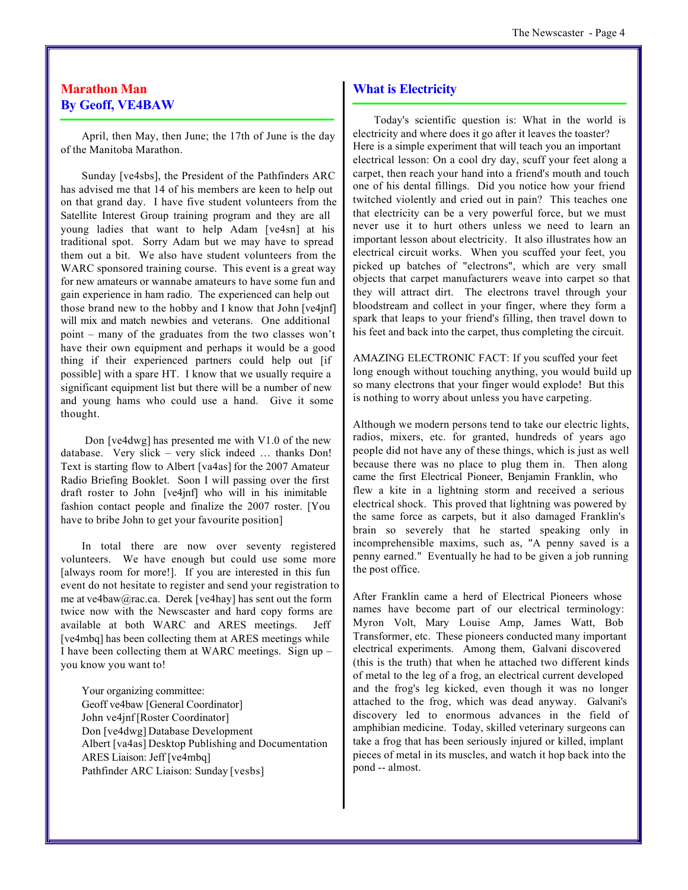#### **Marathon Man By Geoff, VE4BAW**

April, then May, then June; the 17th of June is the day of the Manitoba Marathon.

Sunday [ve4sbs], the President of the Pathfinders ARC has advised me that 14 of his members are keen to help out on that grand day. I have five student volunteers from the Satellite Interest Group training program and they are all young ladies that want to help Adam [ve4sn] at his traditional spot. Sorry Adam but we may have to spread them out a bit. We also have student volunteers from the WARC sponsored training course. This event is a great way for new amateurs or wannabe amateurs to have some fun and gain experience in ham radio. The experienced can help out those brand new to the hobby and I know that John [ve4jnf] will mix and match newbies and veterans. One additional point – many of the graduates from the two classes won't have their own equipment and perhaps it would be a good thing if their experienced partners could help out [if possible] with a spare HT. I know that we usually require a significant equipment list but there will be a number of new and young hams who could use a hand. Give it some thought.

 Don [ve4dwg] has presented me with V1.0 of the new database. Very slick – very slick indeed … thanks Don! Text is starting flow to Albert [va4as] for the 2007 Amateur Radio Briefing Booklet. Soon I will passing over the first draft roster to John [ve4jnf] who will in his inimitable fashion contact people and finalize the 2007 roster. [You have to bribe John to get your favourite position]

In total there are now over seventy registered volunteers. We have enough but could use some more [always room for more!]. If you are interested in this fun event do not hesitate to register and send your registration to me at ve4baw@rac.ca. Derek [ve4hay] has sent out the form twice now with the Newscaster and hard copy forms are available at both WARC and ARES meetings. Jeff [ve4mbq] has been collecting them at ARES meetings while I have been collecting them at WARC meetings. Sign up – you know you want to!

Your organizing committee: Geoff ve4baw [General Coordinator] John ve4jnf [Roster Coordinator] Don [ve4dwg] Database Development Albert [va4as] Desktop Publishing and Documentation ARES Liaison: Jeff [ve4mbq] Pathfinder ARC Liaison: Sunday [vesbs]

#### **What is Electricity**

Today's scientific question is: What in the world is electricity and where does it go after it leaves the toaster? Here is a simple experiment that will teach you an important electrical lesson: On a cool dry day, scuff your feet along a carpet, then reach your hand into a friend's mouth and touch one of his dental fillings. Did you notice how your friend twitched violently and cried out in pain? This teaches one that electricity can be a very powerful force, but we must never use it to hurt others unless we need to learn an important lesson about electricity. It also illustrates how an electrical circuit works. When you scuffed your feet, you picked up batches of "electrons", which are very small objects that carpet manufacturers weave into carpet so that they will attract dirt. The electrons travel through your bloodstream and collect in your finger, where they form a spark that leaps to your friend's filling, then travel down to his feet and back into the carpet, thus completing the circuit.

AMAZING ELECTRONIC FACT: If you scuffed your feet long enough without touching anything, you would build up so many electrons that your finger would explode! But this is nothing to worry about unless you have carpeting.

Although we modern persons tend to take our electric lights, radios, mixers, etc. for granted, hundreds of years ago people did not have any of these things, which is just as well because there was no place to plug them in. Then along came the first Electrical Pioneer, Benjamin Franklin, who flew a kite in a lightning storm and received a serious electrical shock. This proved that lightning was powered by the same force as carpets, but it also damaged Franklin's brain so severely that he started speaking only in incomprehensible maxims, such as, "A penny saved is a penny earned." Eventually he had to be given a job running the post office.

After Franklin came a herd of Electrical Pioneers whose names have become part of our electrical terminology: Myron Volt, Mary Louise Amp, James Watt, Bob Transformer, etc. These pioneers conducted many important electrical experiments. Among them, Galvani discovered (this is the truth) that when he attached two different kinds of metal to the leg of a frog, an electrical current developed and the frog's leg kicked, even though it was no longer attached to the frog, which was dead anyway. Galvani's discovery led to enormous advances in the field of amphibian medicine. Today, skilled veterinary surgeons can take a frog that has been seriously injured or killed, implant pieces of metal in its muscles, and watch it hop back into the pond -- almost.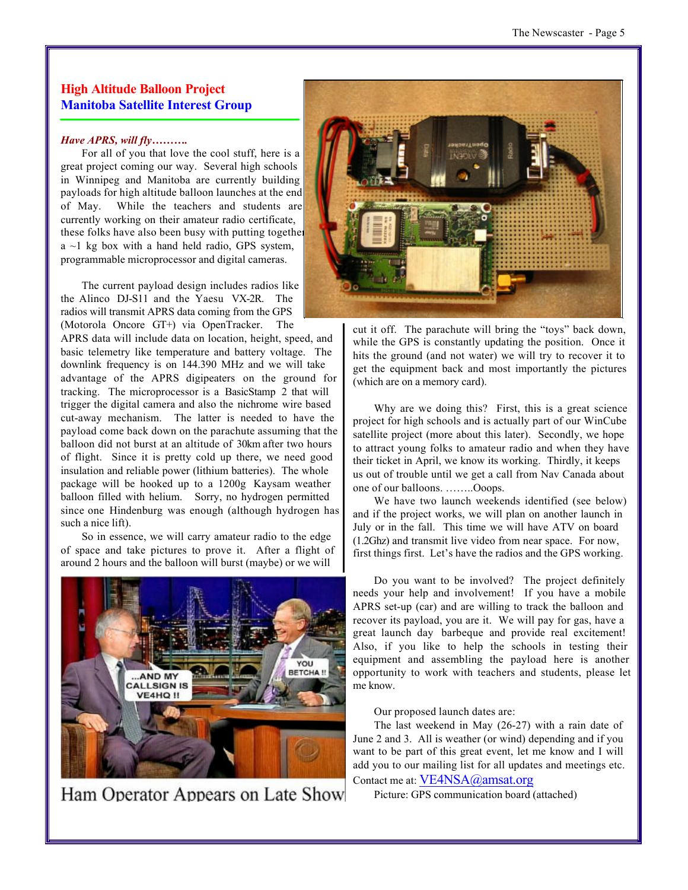#### **High Altitude Balloon Project Manitoba Satellite Interest Group**

#### *Have APRS, will fly……….*

For all of you that love the cool stuff, here is a great project coming our way. Several high schools in Winnipeg and Manitoba are currently building payloads for high altitude balloon launches at the end of May. While the teachers and students are currently working on their amateur radio certificate, these folks have also been busy with putting together  $a \sim 1$  kg box with a hand held radio, GPS system, programmable microprocessor and digital cameras.

The current payload design includes radios like the Alinco DJ-S11 and the Yaesu VX-2R. The radios will transmit APRS data coming from the GPS (Motorola Oncore GT+) via OpenTracker. The

APRS data will include data on location, height, speed, and basic telemetry like temperature and battery voltage. The downlink frequency is on 144.390 MHz and we will take advantage of the APRS digipeaters on the ground for tracking. The microprocessor is a BasicStamp 2 that will trigger the digital camera and also the nichrome wire based cut-away mechanism. The latter is needed to have the payload come back down on the parachute assuming that the balloon did not burst at an altitude of 30km after two hours of flight. Since it is pretty cold up there, we need good insulation and reliable power (lithium batteries). The whole package will be hooked up to a 1200g Kaysam weather balloon filled with helium. Sorry, no hydrogen permitted since one Hindenburg was enough (although hydrogen has such a nice lift).

So in essence, we will carry amateur radio to the edge of space and take pictures to prove it. After a flight of around 2 hours and the balloon will burst (maybe) or we will



Ham Operator Appears on Late Show



cut it off. The parachute will bring the "toys" back down, while the GPS is constantly updating the position. Once it hits the ground (and not water) we will try to recover it to get the equipment back and most importantly the pictures (which are on a memory card).

Why are we doing this? First, this is a great science project for high schools and is actually part of our WinCube satellite project (more about this later). Secondly, we hope to attract young folks to amateur radio and when they have their ticket in April, we know its working. Thirdly, it keeps us out of trouble until we get a call from Nav Canada about one of our balloons. ……..Ooops.

We have two launch weekends identified (see below) and if the project works, we will plan on another launch in July or in the fall. This time we will have ATV on board (1.2Ghz) and transmit live video from near space. For now, first things first. Let's have the radios and the GPS working.

Do you want to be involved? The project definitely needs your help and involvement! If you have a mobile APRS set-up (car) and are willing to track the balloon and recover its payload, you are it. We will pay for gas, have a great launch day barbeque and provide real excitement! Also, if you like to help the schools in testing their equipment and assembling the payload here is another opportunity to work with teachers and students, please let me know.

Our proposed launch dates are:

The last weekend in May (26-27) with a rain date of June 2 and 3. All is weather (or wind) depending and if you want to be part of this great event, let me know and I will add you to our mailing list for all updates and meetings etc. Contact me at: VE4NSA@amsat.org

Picture: GPS communication board (attached)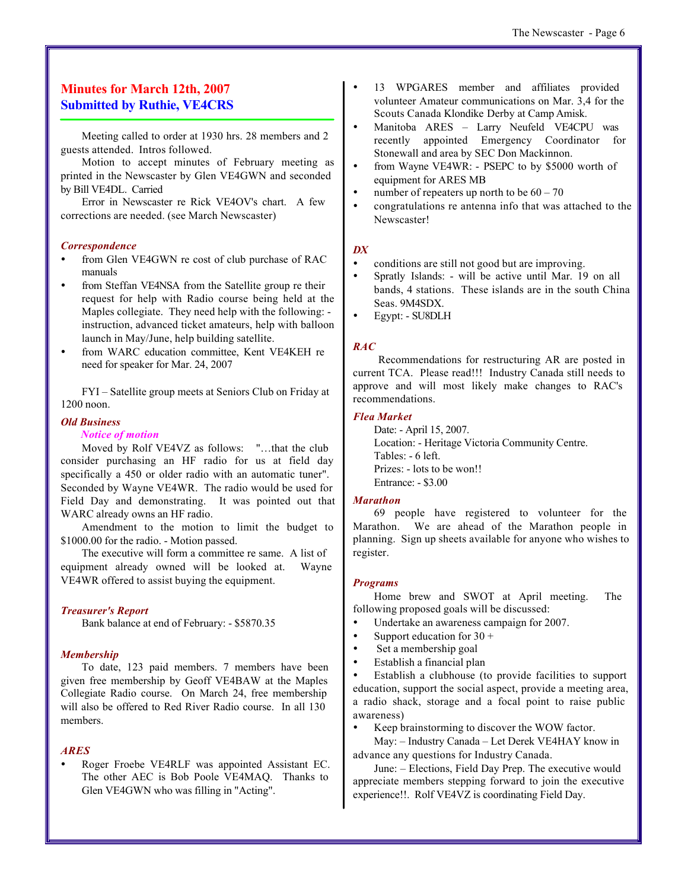#### **Minutes for March 12th, 2007 Submitted by Ruthie, VE4CRS**

Meeting called to order at 1930 hrs. 28 members and 2 guests attended. Intros followed.

Motion to accept minutes of February meeting as printed in the Newscaster by Glen VE4GWN and seconded by Bill VE4DL. Carried

Error in Newscaster re Rick VE4OV's chart. A few corrections are needed. (see March Newscaster)

#### *Correspondence*

- from Glen VE4GWN re cost of club purchase of RAC manuals
- from Steffan VE4NSA from the Satellite group re their request for help with Radio course being held at the Maples collegiate. They need help with the following: instruction, advanced ticket amateurs, help with balloon launch in May/June, help building satellite.
- ü from WARC education committee, Kent VE4KEH re need for speaker for Mar. 24, 2007

FYI – Satellite group meets at Seniors Club on Friday at 1200 noon.

#### *Old Business*

#### *Notice of motion*

Moved by Rolf VE4VZ as follows: "…that the club consider purchasing an HF radio for us at field day specifically a 450 or older radio with an automatic tuner". Seconded by Wayne VE4WR. The radio would be used for Field Day and demonstrating. It was pointed out that WARC already owns an HF radio.

Amendment to the motion to limit the budget to \$1000.00 for the radio. - Motion passed.

The executive will form a committee re same. A list of equipment already owned will be looked at. Wayne VE4WR offered to assist buying the equipment.

#### *Treasurer's Report*

Bank balance at end of February: - \$5870.35

#### *Membership*

To date, 123 paid members. 7 members have been given free membership by Geoff VE4BAW at the Maples Collegiate Radio course. On March 24, free membership will also be offered to Red River Radio course. In all 130 members.

#### *ARES*

ü Roger Froebe VE4RLF was appointed Assistant EC. The other AEC is Bob Poole VE4MAQ. Thanks to Glen VE4GWN who was filling in "Acting".

- ü 13 WPGARES member and affiliates provided volunteer Amateur communications on Mar. 3,4 for the Scouts Canada Klondike Derby at Camp Amisk.
- ü Manitoba ARES Larry Neufeld VE4CPU was recently appointed Emergency Coordinator for Stonewall and area by SEC Don Mackinnon.
- from Wayne VE4WR: PSEPC to by \$5000 worth of equipment for ARES MB
- number of repeaters up north to be  $60 70$
- ü congratulations re antenna info that was attached to the Newscaster!

#### *DX*

- conditions are still not good but are improving.
- Spratly Islands: will be active until Mar. 19 on all bands, 4 stations. These islands are in the south China Seas. 9M4SDX.
- ü Egypt: SU8DLH

#### *RAC*

 Recommendations for restructuring AR are posted in current TCA. Please read!!! Industry Canada still needs to approve and will most likely make changes to RAC's recommendations.

#### *Flea Market*

Date: - April 15, 2007. Location: - Heritage Victoria Community Centre. Tables: - 6 left. Prizes: - lots to be won!! Entrance: - \$3.00

#### *Marathon*

69 people have registered to volunteer for the Marathon. We are ahead of the Marathon people in planning. Sign up sheets available for anyone who wishes to register.

#### *Programs*

Home brew and SWOT at April meeting. The following proposed goals will be discussed:

- ü Undertake an awareness campaign for 2007.
- Support education for  $30 +$
- Set a membership goal
- ü Establish a financial plan

ü Establish a clubhouse (to provide facilities to support education, support the social aspect, provide a meeting area, a radio shack, storage and a focal point to raise public awareness)

Keep brainstorming to discover the WOW factor.

May: – Industry Canada – Let Derek VE4HAY know in advance any questions for Industry Canada.

June: – Elections, Field Day Prep. The executive would appreciate members stepping forward to join the executive experience!!. Rolf VE4VZ is coordinating Field Day.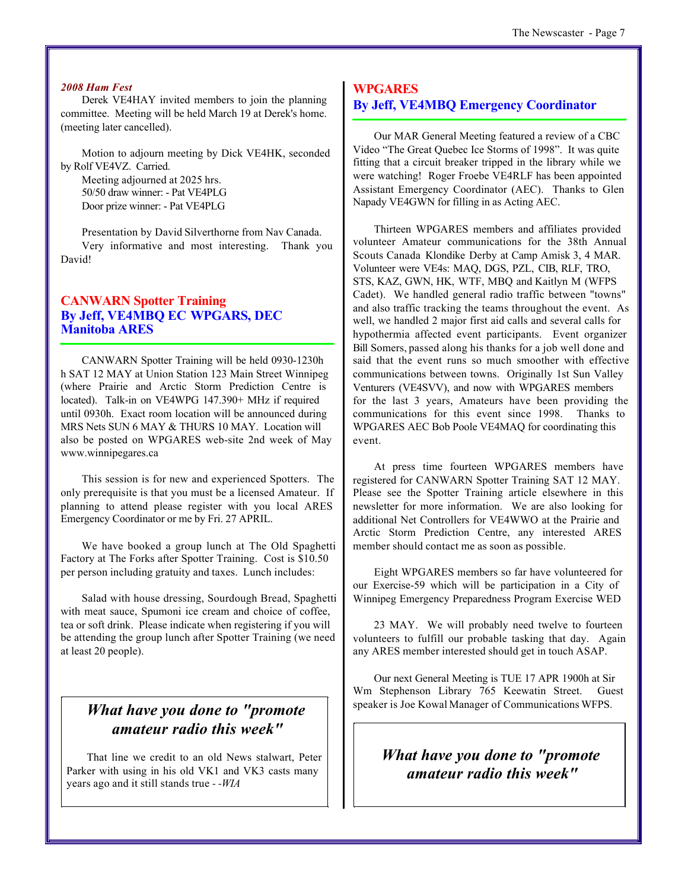#### *2008 Ham Fest*

Derek VE4HAY invited members to join the planning committee. Meeting will be held March 19 at Derek's home. (meeting later cancelled).

Motion to adjourn meeting by Dick VE4HK, seconded by Rolf VE4VZ. Carried.

Meeting adjourned at 2025 hrs. 50/50 draw winner: - Pat VE4PLG Door prize winner: - Pat VE4PLG

Presentation by David Silverthorne from Nav Canada. Very informative and most interesting. Thank you David!

#### **CANWARN Spotter Training By Jeff, VE4MBQ EC WPGARS, DEC Manitoba ARES**

CANWARN Spotter Training will be held 0930-1230h h SAT 12 MAY at Union Station 123 Main Street Winnipeg (where Prairie and Arctic Storm Prediction Centre is located). Talk-in on VE4WPG 147.390+ MHz if required until 0930h. Exact room location will be announced during MRS Nets SUN 6 MAY & THURS 10 MAY. Location will also be posted on WPGARES web-site 2nd week of May www.winnipegares.ca

This session is for new and experienced Spotters. The only prerequisite is that you must be a licensed Amateur. If planning to attend please register with you local ARES Emergency Coordinator or me by Fri. 27 APRIL.

We have booked a group lunch at The Old Spaghetti Factory at The Forks after Spotter Training. Cost is \$10.50 per person including gratuity and taxes. Lunch includes:

Salad with house dressing, Sourdough Bread, Spaghetti with meat sauce, Spumoni ice cream and choice of coffee, tea or soft drink. Please indicate when registering if you will be attending the group lunch after Spotter Training (we need at least 20 people).

#### *What have you done to "promote amateur radio this week"*

That line we credit to an old News stalwart, Peter Parker with using in his old VK1 and VK3 casts many years ago and it still stands true *- -WIA*

#### **WPGARES By Jeff, VE4MBQ Emergency Coordinator**

Our MAR General Meeting featured a review of a CBC Video "The Great Quebec Ice Storms of 1998". It was quite fitting that a circuit breaker tripped in the library while we were watching! Roger Froebe VE4RLF has been appointed Assistant Emergency Coordinator (AEC). Thanks to Glen Napady VE4GWN for filling in as Acting AEC.

Thirteen WPGARES members and affiliates provided volunteer Amateur communications for the 38th Annual Scouts Canada Klondike Derby at Camp Amisk 3, 4 MAR. Volunteer were VE4s: MAQ, DGS, PZL, CIB, RLF, TRO, STS, KAZ, GWN, HK, WTF, MBQ and Kaitlyn M (WFPS Cadet). We handled general radio traffic between "towns" and also traffic tracking the teams throughout the event. As well, we handled 2 major first aid calls and several calls for hypothermia affected event participants. Event organizer Bill Somers, passed along his thanks for a job well done and said that the event runs so much smoother with effective communications between towns. Originally 1st Sun Valley Venturers (VE4SVV), and now with WPGARES members for the last 3 years, Amateurs have been providing the communications for this event since 1998. Thanks to WPGARES AEC Bob Poole VE4MAQ for coordinating this event.

At press time fourteen WPGARES members have registered for CANWARN Spotter Training SAT 12 MAY. Please see the Spotter Training article elsewhere in this newsletter for more information. We are also looking for additional Net Controllers for VE4WWO at the Prairie and Arctic Storm Prediction Centre, any interested ARES member should contact me as soon as possible.

Eight WPGARES members so far have volunteered for our Exercise-59 which will be participation in a City of Winnipeg Emergency Preparedness Program Exercise WED

23 MAY. We will probably need twelve to fourteen volunteers to fulfill our probable tasking that day. Again any ARES member interested should get in touch ASAP.

Our next General Meeting is TUE 17 APR 1900h at Sir Wm Stephenson Library 765 Keewatin Street. Guest speaker is Joe Kowal Manager of Communications WFPS.

> *What have you done to "promote amateur radio this week"*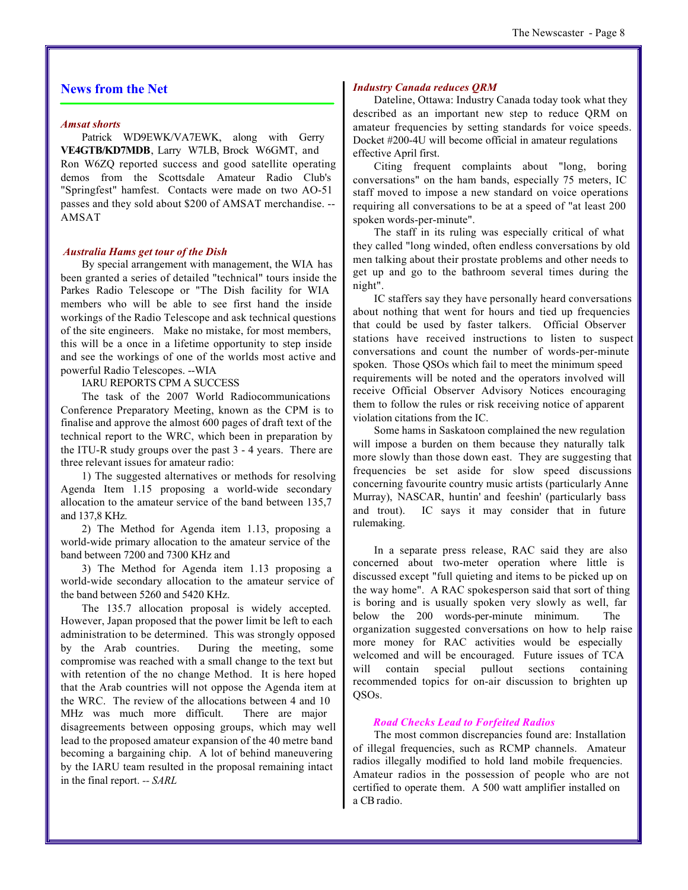#### **News from the Net**

#### *Amsat shorts*

Patrick WD9EWK/VA7EWK, along with Gerry **VE4GTB/KD7MDB**, Larry W7LB, Brock W6GMT, and Ron W6ZQ reported success and good satellite operating demos from the Scottsdale Amateur Radio Club's "Springfest" hamfest. Contacts were made on two AO-51 passes and they sold about \$200 of AMSAT merchandise. -- AMSAT

#### *Australia Hams get tour of the Dish*

By special arrangement with management, the WIA has been granted a series of detailed "technical" tours inside the Parkes Radio Telescope or "The Dish facility for WIA members who will be able to see first hand the inside workings of the Radio Telescope and ask technical questions of the site engineers. Make no mistake, for most members, this will be a once in a lifetime opportunity to step inside and see the workings of one of the worlds most active and powerful Radio Telescopes. --WIA

#### IARU REPORTS CPM A SUCCESS

The task of the 2007 World Radiocommunications Conference Preparatory Meeting, known as the CPM is to finalise and approve the almost 600 pages of draft text of the technical report to the WRC, which been in preparation by the ITU-R study groups over the past 3 - 4 years. There are three relevant issues for amateur radio:

1) The suggested alternatives or methods for resolving Agenda Item 1.15 proposing a world-wide secondary allocation to the amateur service of the band between 135,7 and 137,8 KHz.

2) The Method for Agenda item 1.13, proposing a world-wide primary allocation to the amateur service of the band between 7200 and 7300 KHz and

3) The Method for Agenda item 1.13 proposing a world-wide secondary allocation to the amateur service of the band between 5260 and 5420 KHz.

The 135.7 allocation proposal is widely accepted. However, Japan proposed that the power limit be left to each administration to be determined. This was strongly opposed by the Arab countries. During the meeting, some compromise was reached with a small change to the text but with retention of the no change Method. It is here hoped that the Arab countries will not oppose the Agenda item at the WRC. The review of the allocations between 4 and 10 MHz was much more difficult. There are major disagreements between opposing groups, which may well lead to the proposed amateur expansion of the 40 metre band becoming a bargaining chip. A lot of behind maneuvering by the IARU team resulted in the proposal remaining intact in the final report. *-- SARL*

#### *Industry Canada reduces QRM*

Dateline, Ottawa: Industry Canada today took what they described as an important new step to reduce QRM on amateur frequencies by setting standards for voice speeds. Docket #200-4U will become official in amateur regulations effective April first.

Citing frequent complaints about "long, boring conversations" on the ham bands, especially 75 meters, IC staff moved to impose a new standard on voice operations requiring all conversations to be at a speed of "at least 200 spoken words-per-minute".

The staff in its ruling was especially critical of what they called "long winded, often endless conversations by old men talking about their prostate problems and other needs to get up and go to the bathroom several times during the night".

IC staffers say they have personally heard conversations about nothing that went for hours and tied up frequencies that could be used by faster talkers. Official Observer stations have received instructions to listen to suspect conversations and count the number of words-per-minute spoken. Those QSOs which fail to meet the minimum speed requirements will be noted and the operators involved will receive Official Observer Advisory Notices encouraging them to follow the rules or risk receiving notice of apparent violation citations from the IC.

Some hams in Saskatoon complained the new regulation will impose a burden on them because they naturally talk more slowly than those down east. They are suggesting that frequencies be set aside for slow speed discussions concerning favourite country music artists (particularly Anne Murray), NASCAR, huntin' and feeshin' (particularly bass and trout). IC says it may consider that in future rulemaking.

In a separate press release, RAC said they are also concerned about two-meter operation where little is discussed except "full quieting and items to be picked up on the way home". A RAC spokesperson said that sort of thing is boring and is usually spoken very slowly as well, far below the 200 words-per-minute minimum. The organization suggested conversations on how to help raise more money for RAC activities would be especially welcomed and will be encouraged. Future issues of TCA will contain special pullout sections containing recommended topics for on-air discussion to brighten up QSOs.

#### *Road Checks Lead to Forfeited Radios*

The most common discrepancies found are: Installation of illegal frequencies, such as RCMP channels. Amateur radios illegally modified to hold land mobile frequencies. Amateur radios in the possession of people who are not certified to operate them. A 500 watt amplifier installed on a CB radio.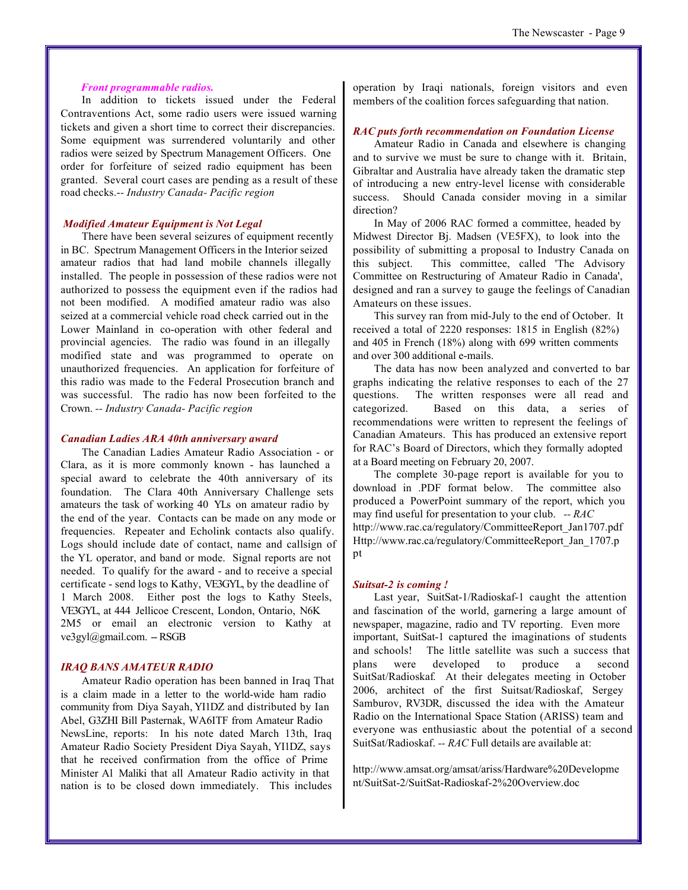#### *Front programmable radios.*

In addition to tickets issued under the Federal Contraventions Act, some radio users were issued warning tickets and given a short time to correct their discrepancies. Some equipment was surrendered voluntarily and other radios were seized by Spectrum Management Officers. One order for forfeiture of seized radio equipment has been granted. Several court cases are pending as a result of these road checks.-*- Industry Canada- Pacific region*

#### *Modified Amateur Equipment is Not Legal*

There have been several seizures of equipment recently in BC. Spectrum Management Officers in the Interior seized amateur radios that had land mobile channels illegally installed. The people in possession of these radios were not authorized to possess the equipment even if the radios had not been modified. A modified amateur radio was also seized at a commercial vehicle road check carried out in the Lower Mainland in co-operation with other federal and provincial agencies. The radio was found in an illegally modified state and was programmed to operate on unauthorized frequencies. An application for forfeiture of this radio was made to the Federal Prosecution branch and was successful. The radio has now been forfeited to the Crown. *-- Industry Canada- Pacific region*

#### *Canadian Ladies ARA 40th anniversary award*

The Canadian Ladies Amateur Radio Association - or Clara, as it is more commonly known - has launched a special award to celebrate the 40th anniversary of its foundation. The Clara 40th Anniversary Challenge sets amateurs the task of working 40 YLs on amateur radio by the end of the year. Contacts can be made on any mode or frequencies. Repeater and Echolink contacts also qualify. Logs should include date of contact, name and callsign of the YL operator, and band or mode. Signal reports are not needed. To qualify for the award - and to receive a special certificate - send logs to Kathy, VE3GYL, by the deadline of 1 March 2008. Either post the logs to Kathy Steels, VE3GYL, at 444 Jellicoe Crescent, London, Ontario, N6K 2M5 or email an electronic version to Kathy at ve3gyl@gmail.com. -- RSGB

#### *IRAQ BANS AMATEUR RADIO*

Amateur Radio operation has been banned in Iraq That is a claim made in a letter to the world-wide ham radio community from Diya Sayah, YI1DZ and distributed by Ian Abel, G3ZHI Bill Pasternak, WA6ITF from Amateur Radio NewsLine, reports: In his note dated March 13th, Iraq Amateur Radio Society President Diya Sayah, YI1DZ, says that he received confirmation from the office of Prime Minister Al Maliki that all Amateur Radio activity in that nation is to be closed down immediately. This includes

operation by Iraqi nationals, foreign visitors and even members of the coalition forces safeguarding that nation.

#### *RAC puts forth recommendation on Foundation License*

Amateur Radio in Canada and elsewhere is changing and to survive we must be sure to change with it. Britain, Gibraltar and Australia have already taken the dramatic step of introducing a new entry-level license with considerable success. Should Canada consider moving in a similar direction?

In May of 2006 RAC formed a committee, headed by Midwest Director Bj. Madsen (VE5FX), to look into the possibility of submitting a proposal to Industry Canada on this subject. This committee, called 'The Advisory Committee on Restructuring of Amateur Radio in Canada', designed and ran a survey to gauge the feelings of Canadian Amateurs on these issues.

This survey ran from mid-July to the end of October. It received a total of 2220 responses: 1815 in English (82%) and 405 in French (18%) along with 699 written comments and over 300 additional e-mails.

The data has now been analyzed and converted to bar graphs indicating the relative responses to each of the 27 questions. The written responses were all read and categorized. Based on this data, a series of recommendations were written to represent the feelings of Canadian Amateurs. This has produced an extensive report for RAC's Board of Directors, which they formally adopted at a Board meeting on February 20, 2007.

The complete 30-page report is available for you to download in .PDF format below. The committee also produced a PowerPoint summary of the report, which you may find useful for presentation to your club. *-- RAC* [http://www.rac.ca/regulatory/CommitteeReport\\_Jan1707.pdf](http://www.rac.ca/regulatory/CommitteeReport_Jan1707.pdf) [Http://www.rac.ca/regulatory/CommitteeReport\\_Jan\\_1707.p](Http://www.rac.ca/regulatory/CommitteeReport_Jan_1707.p) pt

#### *Suitsat-2 is coming !*

Last year, SuitSat-1/Radioskaf-1 caught the attention and fascination of the world, garnering a large amount of newspaper, magazine, radio and TV reporting. Even more important, SuitSat-1 captured the imaginations of students and schools! The little satellite was such a success that plans were developed to produce a second SuitSat/Radioskaf. At their delegates meeting in October 2006, architect of the first Suitsat/Radioskaf, Sergey Samburov, RV3DR, discussed the idea with the Amateur Radio on the International Space Station (ARISS) team and everyone was enthusiastic about the potential of a second SuitSat/Radioskaf. *-- RAC* Full details are available at:

<http://www.amsat.org/amsat/ariss/Hardware%20Developme> nt/SuitSat-2/SuitSat-Radioskaf-2%20Overview.doc